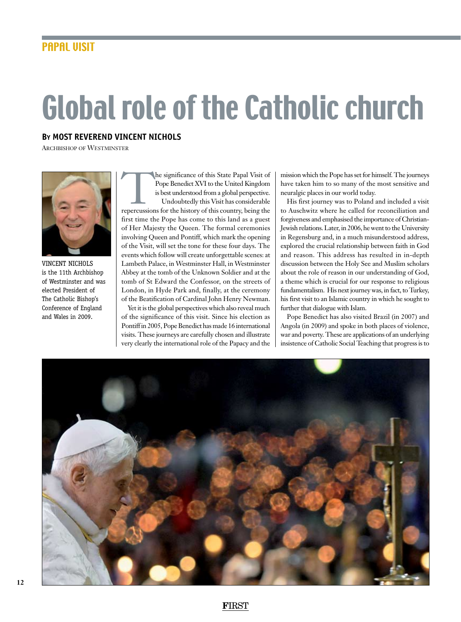## Global role of the Catholic church

## **By Most Reverend Vincent Nichols**

Archbishop of Westminster



vincent nichols is the 11th Archbishop of Westminster and was elected President of The Catholic Bishop's Conference of England and Wales in 2009.

The significance of this State Papal Visit of<br>
Pope Benedict XVI to the United Kingdom<br>
is best understood from a global perspective.<br>
Undoubtedly this Visit has considerable<br>
repercussions for the history of this country, Pope Benedict XVI to the United Kingdom is best understood from a global perspective. Undoubtedly this Visit has considerable first time the Pope has come to this land as a guest of Her Majesty the Queen. The formal ceremonies involving Queen and Pontiff, which mark the opening of the Visit, will set the tone for these four days. The events which follow will create unforgettable scenes: at Lambeth Palace, in Westminster Hall, in Westminster Abbey at the tomb of the Unknown Soldier and at the tomb of St Edward the Confessor, on the streets of London, in Hyde Park and, finally, at the ceremony of the Beatification of Cardinal John Henry Newman.

Yet it is the global perspectives which also reveal much of the significance of this visit. Since his election as Pontiff in 2005, Pope Benedict has made 16 international visits. These journeys are carefully chosen and illustrate very clearly the international role of the Papacy and the mission which the Pope has set for himself. The journeys have taken him to so many of the most sensitive and neuralgic places in our world today.

His first journey was to Poland and included a visit to Auschwitz where he called for reconciliation and forgiveness and emphasised the importance of Christian-Jewish relations. Later, in 2006, he went to the University in Regensburg and, in a much misunderstood address, explored the crucial relationship between faith in God and reason. This address has resulted in in-depth discussion between the Holy See and Muslim scholars about the role of reason in our understanding of God, a theme which is crucial for our response to religious fundamentalism. His next journey was, in fact, to Turkey, his first visit to an Islamic country in which he sought to further that dialogue with Islam.

Pope Benedict has also visited Brazil (in 2007) and Angola (in 2009) and spoke in both places of violence, war and poverty. These are applications of an underlying insistence of Catholic Social Teaching that progress is to